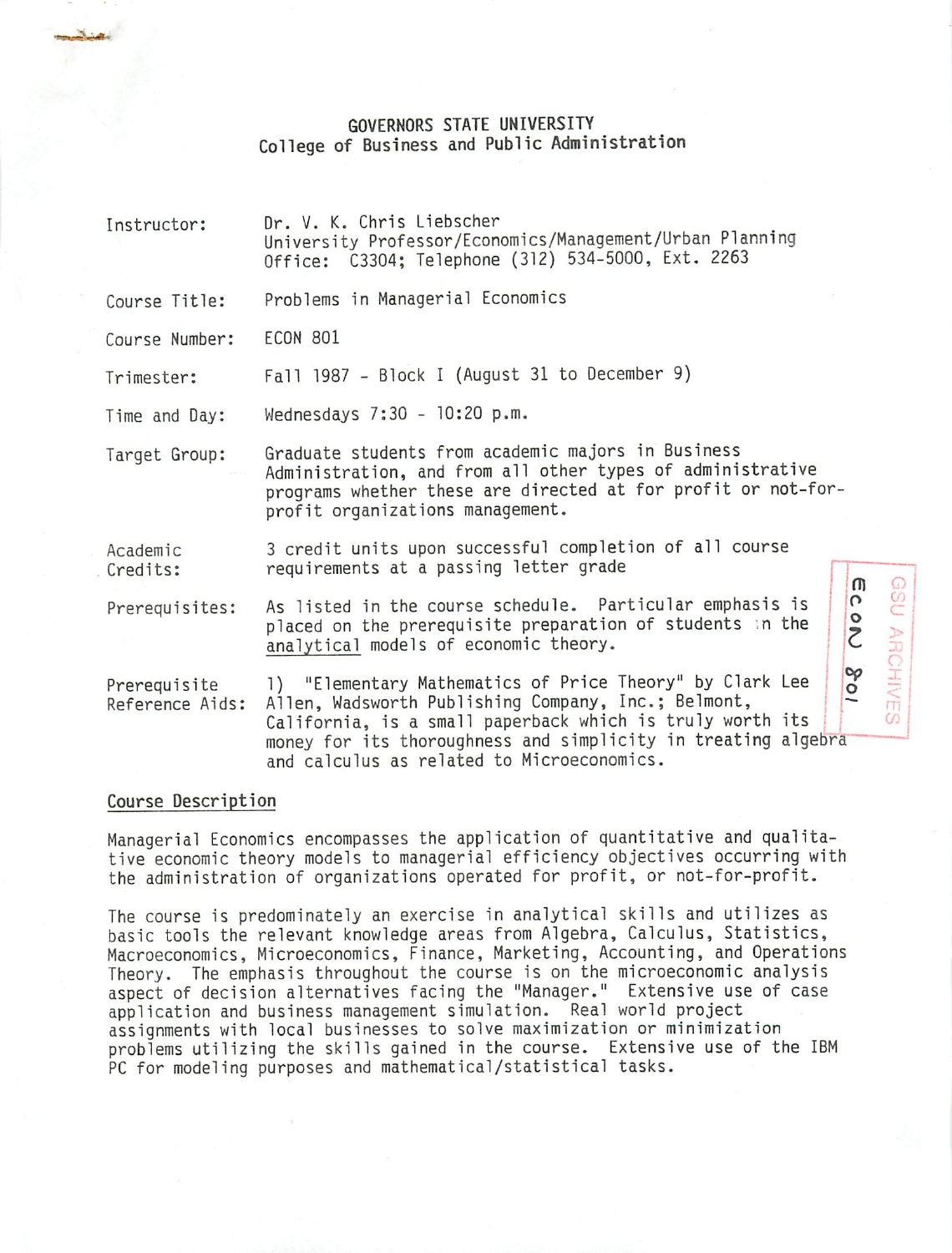# GOVERNORS STATE UNIVERSITY College of Business and Public Administration

| Instructor:                     | Dr. V. K. Chris Liebscher<br>University Professor/Economics/Management/Urban Planning<br>Office: C3304; Telephone (312) 534-5000, Ext. 2263                                                                                                                                                                  |
|---------------------------------|--------------------------------------------------------------------------------------------------------------------------------------------------------------------------------------------------------------------------------------------------------------------------------------------------------------|
| Course Title:                   | Problems in Managerial Economics                                                                                                                                                                                                                                                                             |
| Course Number:                  | <b>ECON 801</b>                                                                                                                                                                                                                                                                                              |
| Trimester:                      | Fall 1987 - Block I (August 31 to December 9)                                                                                                                                                                                                                                                                |
| Time and Day:                   | Wednesdays 7:30 - 10:20 p.m.                                                                                                                                                                                                                                                                                 |
| Target Group:                   | Graduate students from academic majors in Business<br>Administration, and from all other types of administrative<br>programs whether these are directed at for profit or not-for-<br>profit organizations management.                                                                                        |
| Academic<br>Credits:            | 3 credit units upon successful completion of all course<br>requirements at a passing letter grade<br>$\sqrt{ }$                                                                                                                                                                                              |
| Prerequisites:                  | $\Omega$<br>As listed in the course schedule. Particular emphasis is<br>$rac{1}{\sqrt{2}}$<br>placed on the prerequisite preparation of students in the<br>analytical models of economic theory.                                                                                                             |
| Prerequisite<br>Reference Aids: | op<br>1) "Elementary Mathematics of Price Theory" by Clark Lee<br>$\circ$<br>Allen, Wadsworth Publishing Company, Inc.; Belmont,<br>California, is a small paperback which is truly worth its<br>money for its thoroughness and simplicity in treating algebra<br>and calculus as related to Microeconomics. |

o c

*(J:*

# Course Description

, where  $\sim$ 

Managerial Economics encompasses the application of quantitative and qualita tive economic theory models to managerial efficiency objectives occurring with the administration of organizations operated for profit, or not-for-profit.

The course is predominately an exercise in analytical skills and utilizes as basic tools the relevant knowledge areas from Algebra, Calculus, Statistics, Macroeconomics, Microeconomics, Finance, Marketing, Accounting, and Operations Theory. The emphasis throughout the course is on the microeconomic analysis aspect of decision alternatives facing the "Manager." Extensive use of case application and business management simulation. Real world project assignments with local businesses to solve maximization or minimization problems utilizing the skills gained in the course. Extensive use of the IBM PC for modeling purposes and mathematical/statistical tasks.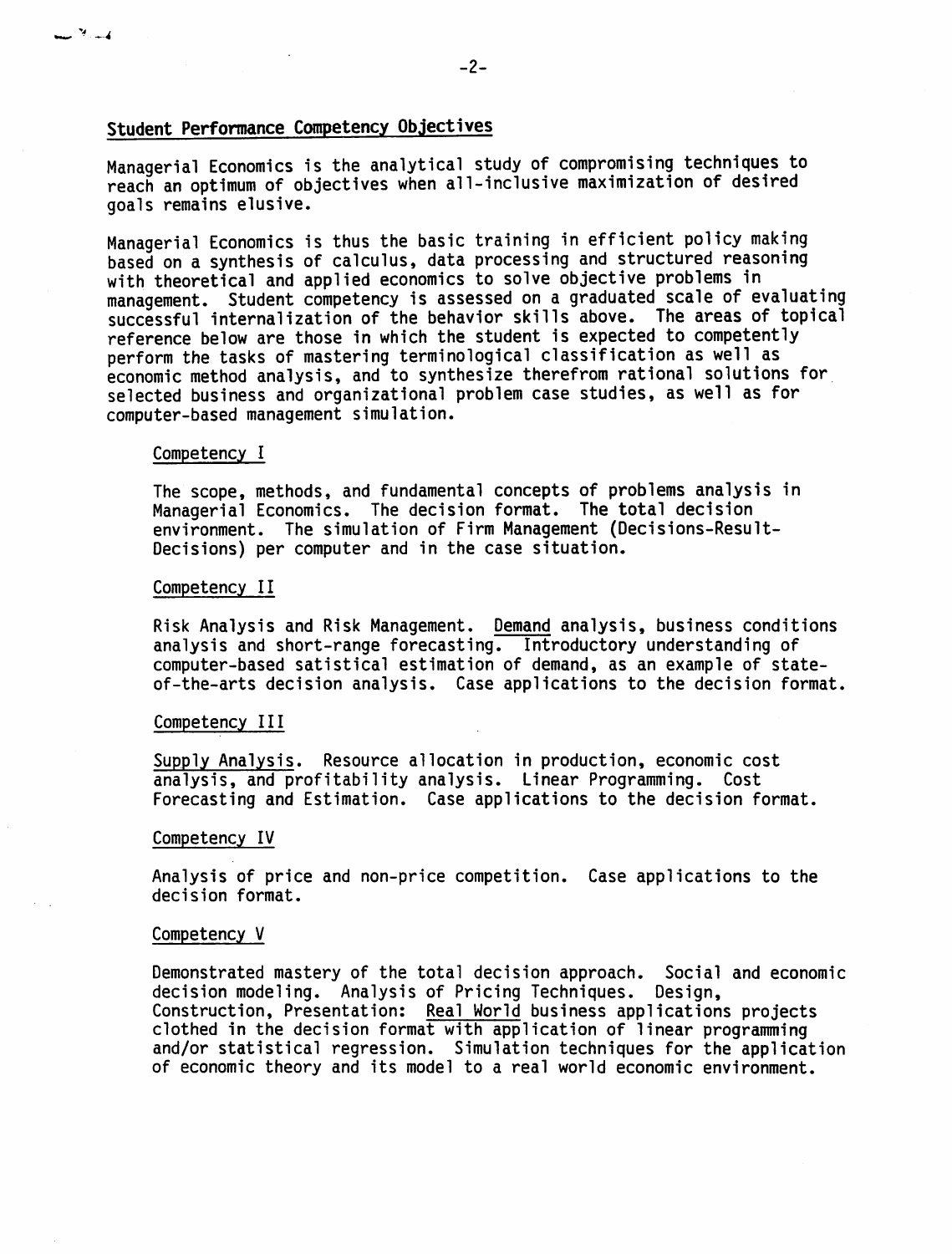# Student Performance Competency Objectives

Managerial Economics is the analytical study of compromising techniques to reach an optimum of objectives when all-inclusive maximization of desired goals remains elusive.

Managerial Economics is thus the basic training in efficient policy making based on a synthesis of calculus, data processing and structured reasoning with theoretical and applied economics to solve objective problems in management. Student competency is assessed on a graduated scale of evaluating successful internalization of the behavior skills above. The areas of topical reference below are those in which the student is expected to competently perform the tasks of mastering terminological classification as well as economic method analysis, and to synthesize therefrom rational solutions for selected business and organizational problem case studies, as well as for computer-based management simulation.

#### Competency I

 $-$ <sup>3</sup>

The scope, methods, and fundamental concepts of problems analysis in Managerial Economics. The decision format. The total decision environment. The simulation of Firm Management (Decisions-Result-Decisions) per computer and in the case situation.

#### Competency II

Risk Analysis and Risk Management. Demand analysis, business conditions analysis and short-range forecasting. Introductory understanding of computer-based satistical estimation of demand, as an example of stateof-the-arts decision analysis. Case applications to the decision format.

### Competency III

Supply Analysis. Resource allocation in production, economic cost analysis, and profitability analysis. Linear Programming. Cost Forecasting and Estimation. Case applications to the decision format.

#### Competency IV

Analysis of price and non-price competition. Case applications to the decision format.

#### Competency V

Demonstrated mastery of the total decision approach. Social and economic decision modeling. Analysis of Pricing Techniques. Design, Construction, Presentation: Real World business applications projects clothed in the decision format with application of linear programming and/or statistical regression. Simulation techniques for the application of economic theory and its model to a real world economic environment.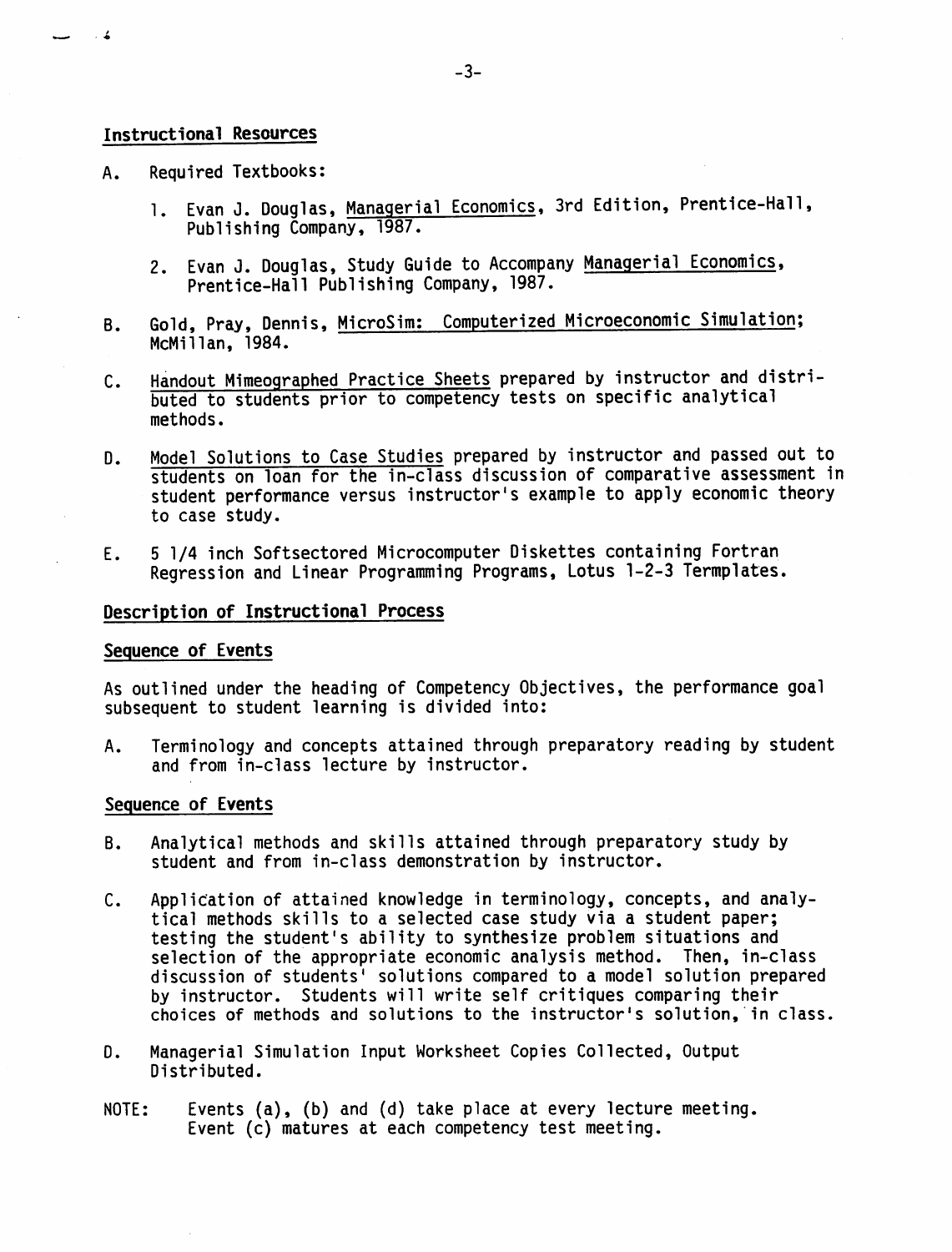## Instructional Resources

 $\sim$   $\sim$  4

- A. Required Textbooks:
	- 1. Evan J. Douglas, Managerial Economics, 3rd Edition, Prentice-Hall, Publishing Company, 1987.
	- 2. Evan J. Douglas, Study Guide to Accompany Managerial Economics, Prentice-Hall Publishing Company, 1987.
- B. Gold, Pray, Dennis, MicroSim: Computerized Microeconomic Simulation; McMillan, 1984.
- C. Handout Mimeographed Practice Sheets prepared by instructor and distri buted to students prior to competency tests on specific analytical methods.
- D. Model Solutions to Case Studies prepared by instructor and passed out to students on loan for the in-class discussion of comparative assessment in student performance versus instructor's example to apply economic theory to case study.
- E. 5 1/4 inch Softsectored Microcomputer Diskettes containing Fortran Regression and Linear Programming Programs, Lotus 1-2-3 Termplates.

## Description of Instructional Process

### Sequence of Events

As outlined under the heading of Competency Objectives, the performance goal subsequent to student learning is divided into:

A. Terminology and concepts attained through preparatory reading by student and from in-class lecture by instructor.

## Sequence of Events

- B. Analytical methods and skills attained through preparatory study by student and from in-class demonstration by instructor.
- C. Application of attained knowledge in terminology, concepts, and analy tical methods skills to a selected case study via a student paper; testing the student's ability to synthesize problem situations and selection of the appropriate economic analysis method. Then, in-class discussion of students' solutions compared to a model solution prepared by instructor. Students will write self critiques comparing their choices of methods and solutions to the instructor's solution, in class.
- D. Managerial Simulation Input Worksheet Copies Collected, Output Distributed.
- NOTE: Events (a), (b) and (d) take place at every lecture meeting. Event (c) matures at each competency test meeting.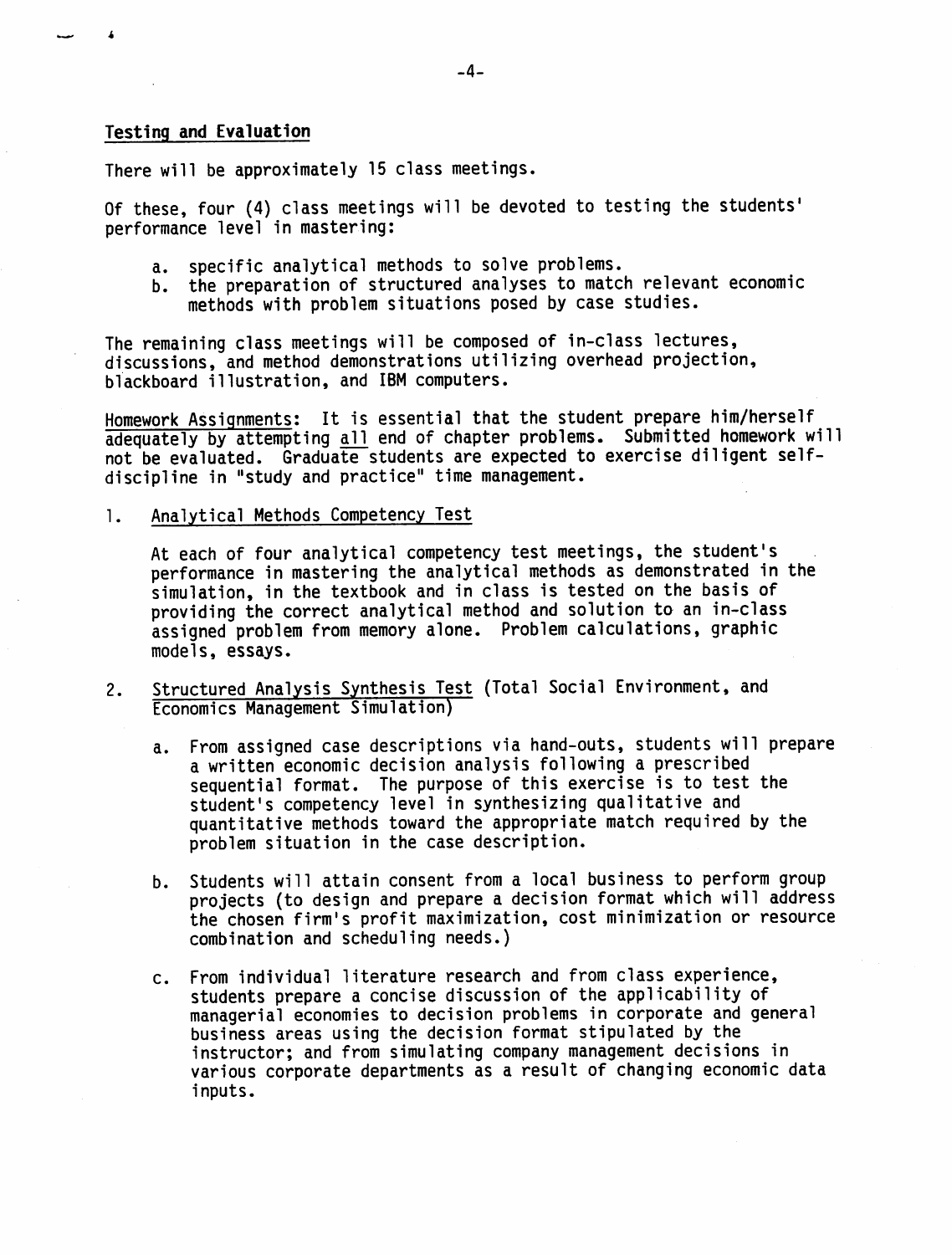## Testing and Evaluation

There will be approximately 15 class meetings.

Of these, four (4) class meetings will be devoted to testing the students' performance level in mastering:

- a. specific analytical methods to solve problems.
- b. the preparation of structured analyses to match relevant economic methods with problem situations posed by case studies.

The remaining class meetings will be composed of in-class lectures, discussions, and method demonstrations utilizing overhead projection, blackboard illustration, and IBM computers.

Homework Assignments: It is essential that the student prepare him/herself adequately by attempting all end of chapter problems. Submitted homework will not be evaluated. Graduate students are expected to exercise diligent selfdiscipline in "study and practice" time management.

1. Analytical Methods Competency Test

At each of four analytical competency test meetings, the student's performance in mastering the analytical methods as demonstrated in the simulation, in the textbook and in class is tested on the basis of providing the correct analytical method and solution to an in-class assigned problem from memory alone. Problem calculations, graphic models, essays.

- 2. Structured Analysis Synthesis Test (Total Social Environment, and Economics Management Simulation)
	- a. From assigned case descriptions via hand-outs, students will prepare a written economic decision analysis following a prescribed sequential format. The purpose of this exercise is to test the student's competency level in synthesizing qualitative and quantitative methods toward the appropriate match required by the problem situation in the case description.
	- b. Students will attain consent from a local business to perform group projects (to design and prepare a decision format which will address the chosen firm's profit maximization, cost minimization or resource combination and scheduling needs.)
	- c. From individual literature research and from class experience, students prepare a concise discussion of the applicability of managerial economies to decision problems in corporate and general business areas using the decision format stipulated by the instructor; and from simulating company management decisions in various corporate departments as a result of changing economic data inputs.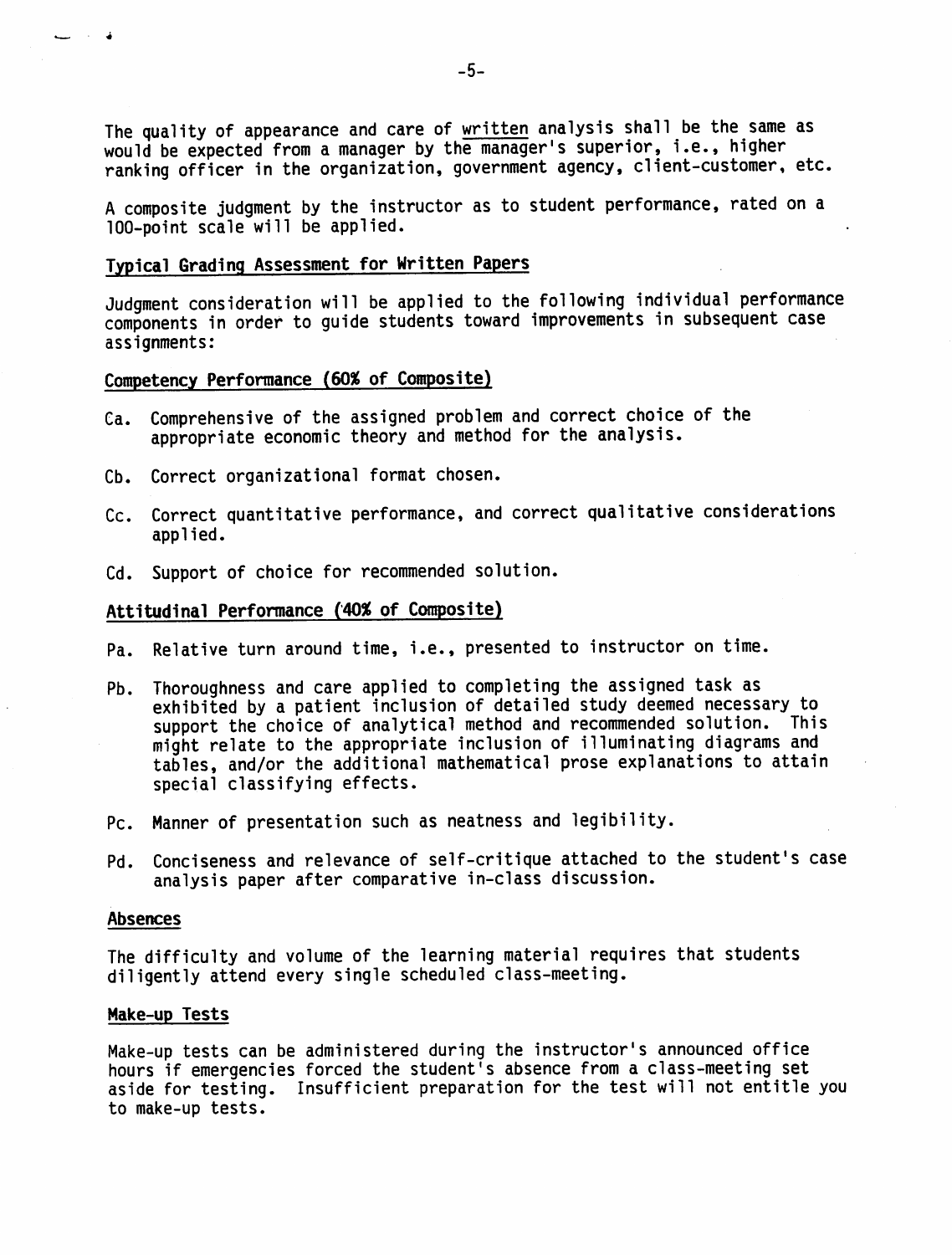The quality of appearance and care of written analysis shall be the same as would be expected from a manager by the manager's superior, i.e., higher ranking officer in the organization, government agency, client-customer, etc.

A composite judgment by the instructor as to student performance, rated on a 100-point scale will be applied.

# Typical Grading Assessment for Written Papers

Judgment consideration will be applied to the following individual performance components in order to guide students toward improvements in subsequent case assignments:

# Competency Performance (60% of Composite)

- Ca. Comprehensive of the assigned problem and correct choice of the appropriate economic theory and method for the analysis.
- Cb. Correct organizational format chosen.
- Cc. Correct quantitative performance, and correct qualitative considerations applied.
- Cd. Support of choice for recommended solution.

## Attitudinal Performance (40% of Composite)

- Pa. Relative turn around time, i.e., presented to instructor on time.
- Pb. Thoroughness and care applied to completing the assigned task as exhibited by a patient inclusion of detailed study deemed necessary to support the choice of analytical method and recommended solution. This might relate to the appropriate inclusion of illuminating diagrams and tables, and/or the additional mathematical prose explanations to attain special classifying effects.
- Pc. Manner of presentation such as neatness and legibility.
- Pd. Conciseness and relevance of self-critique attached to the student's case analysis paper after comparative in-class discussion.

#### **Absences**

 $\sim$  4  $\sim$ 

The difficulty and volume of the learning material requires that students diligently attend every single scheduled class-meeting.

### Make-up Tests

Make-up tests can be administered during the instructor's announced office hours if emergencies forced the student's absence from a class-meeting set aside for testing. Insufficient preparation for the test will not entitle you to make-up tests.